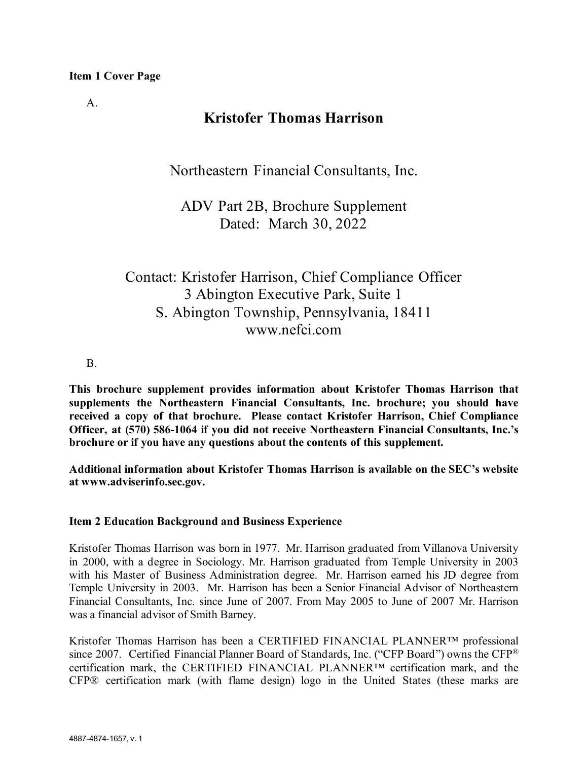$A<sub>1</sub>$ 

# **Kristofer Thomas Harrison**

Northeastern Financial Consultants, Inc.

ADV Part 2B, Brochure Supplement Dated: March 30, 2022

Contact: Kristofer Harrison, Chief Compliance Officer 3 Abington Executive Park, Suite 1 S. Abington Township, Pennsylvania, 18411 www.nefci.com

B.

**This brochure supplement provides information about Kristofer Thomas Harrison that supplements the Northeastern Financial Consultants, Inc. brochure; you should have received a copy of that brochure. Please contact Kristofer Harrison, Chief Compliance Officer, at (570) 586-1064 if you did not receive Northeastern Financial Consultants, Inc.'s brochure or if you have any questions about the contents of this supplement.**

**Additional information about Kristofer Thomas Harrison is available on the SEC's website at www.adviserinfo.sec.gov.** 

# **Item 2 Education Background and Business Experience**

Kristofer Thomas Harrison was born in 1977. Mr. Harrison graduated from Villanova University in 2000, with a degree in Sociology. Mr. Harrison graduated from Temple University in 2003 with his Master of Business Administration degree. Mr. Harrison earned his JD degree from Temple University in 2003. Mr. Harrison has been a Senior Financial Advisor of Northeastern Financial Consultants, Inc. since June of 2007. From May 2005 to June of 2007 Mr. Harrison was a financial advisor of Smith Barney.

Kristofer Thomas Harrison has been a CERTIFIED FINANCIAL PLANNER™ professional since 2007. Certified Financial Planner Board of Standards, Inc. ("CFP Board") owns the CFP<sup>®</sup> certification mark, the CERTIFIED FINANCIAL PLANNER™ certification mark, and the CFP® certification mark (with flame design) logo in the United States (these marks are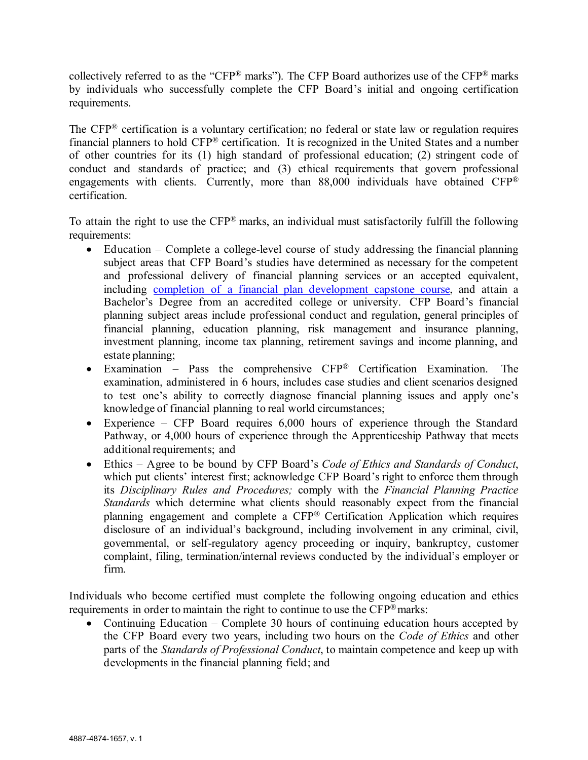collectively referred to as the "CFP® marks"). The CFP Board authorizes use of the CFP® marks by individuals who successfully complete the CFP Board's initial and ongoing certification requirements.

The CFP® certification is a voluntary certification; no federal or state law or regulation requires financial planners to hold CFP® certification. It is recognized in the United States and a number of other countries for its (1) high standard of professional education; (2) stringent code of conduct and standards of practice; and (3) ethical requirements that govern professional engagements with clients. Currently, more than 88,000 individuals have obtained CFP® certification.

To attain the right to use the CFP® marks, an individual must satisfactorily fulfill the following requirements:

- Education Complete a college-level course of study addressing the financial planning subject areas that CFP Board's studies have determined as necessary for the competent and professional delivery of financial planning services or an accepted equivalent, including [completion of a financial plan development capstone course,](https://www.cfp.net/become-a-cfp-professional/cfp-certification-requirements/education-requirement/capstone-course) and attain a Bachelor's Degree from an accredited college or university. CFP Board's financial planning subject areas include professional conduct and regulation, general principles of financial planning, education planning, risk management and insurance planning, investment planning, income tax planning, retirement savings and income planning, and estate planning;
- Examination Pass the comprehensive CFP® Certification Examination. The examination, administered in 6 hours, includes case studies and client scenarios designed to test one's ability to correctly diagnose financial planning issues and apply one's knowledge of financial planning to real world circumstances;
- Experience CFP Board requires 6,000 hours of experience through the Standard Pathway, or 4,000 hours of experience through the Apprenticeship Pathway that meets additional requirements; and
- Ethics Agree to be bound by CFP Board's *Code of Ethics and Standards of Conduct*, which put clients' interest first; acknowledge CFP Board's right to enforce them through its *Disciplinary Rules and Procedures;* comply with the *Financial Planning Practice Standards* which determine what clients should reasonably expect from the financial planning engagement and complete a CFP® Certification Application which requires disclosure of an individual's background, including involvement in any criminal, civil, governmental, or self-regulatory agency proceeding or inquiry, bankruptcy, customer complaint, filing, termination/internal reviews conducted by the individual's employer or firm.

Individuals who become certified must complete the following ongoing education and ethics requirements in order to maintain the right to continue to use the CFP® marks:

• Continuing Education – Complete 30 hours of continuing education hours accepted by the CFP Board every two years, including two hours on the *Code of Ethics* and other parts of the *Standards of Professional Conduct*, to maintain competence and keep up with developments in the financial planning field; and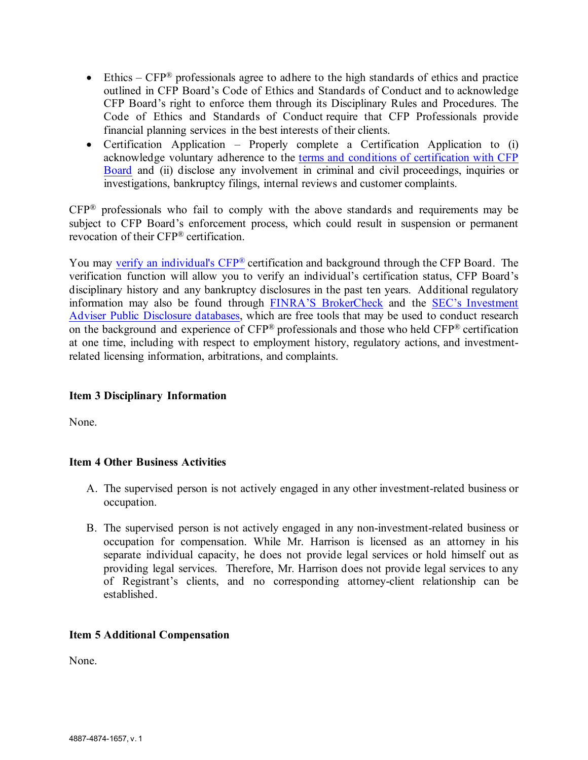- Ethics  $CFP^®$  professionals agree to adhere to the high standards of ethics and practice outlined in CFP Board's Code of Ethics and Standards of Conduct and to acknowledge CFP Board's right to enforce them through its Disciplinary Rules and Procedures. The Code of Ethics and Standards of Conduct require that CFP Professionals provide financial planning services in the best interests of their clients.
- Certification Application Properly complete a Certification Application to (i) acknowledge voluntary adherence to the [terms and conditions of certification with CFP](https://www.cfp.net/utility/terms-and-conditions-of-certification-and-license)  [Board](https://www.cfp.net/utility/terms-and-conditions-of-certification-and-license) and (ii) disclose any involvement in criminal and civil proceedings, inquiries or investigations, bankruptcy filings, internal reviews and customer complaints.

CFP® professionals who fail to comply with the above standards and requirements may be subject to CFP Board's enforcement process, which could result in suspension or permanent revocation of their CFP® certification.

You may [verify an individual's CFP®](https://www.cfp.net/verify-a-cfp-professional) certification and background through the CFP Board. The verification function will allow you to verify an individual's certification status, CFP Board's disciplinary history and any bankruptcy disclosures in the past ten years. Additional regulatory information may also be found through [FINRA'S BrokerCheck](https://brokercheck.finra.org/) and the [SEC's Investment](https://www.adviserinfo.sec.gov/IAPD/Default.aspx)  [Adviser Public Disclosure databases,](https://www.adviserinfo.sec.gov/IAPD/Default.aspx) which are free tools that may be used to conduct research on the background and experience of CFP® professionals and those who held CFP® certification at one time, including with respect to employment history, regulatory actions, and investmentrelated licensing information, arbitrations, and complaints.

## **Item 3 Disciplinary Information**

None.

# **Item 4 Other Business Activities**

- A. The supervised person is not actively engaged in any other investment-related business or occupation.
- B. The supervised person is not actively engaged in any non-investment-related business or occupation for compensation. While Mr. Harrison is licensed as an attorney in his separate individual capacity, he does not provide legal services or hold himself out as providing legal services. Therefore, Mr. Harrison does not provide legal services to any of Registrant's clients, and no corresponding attorney-client relationship can be established.

## **Item 5 Additional Compensation**

None.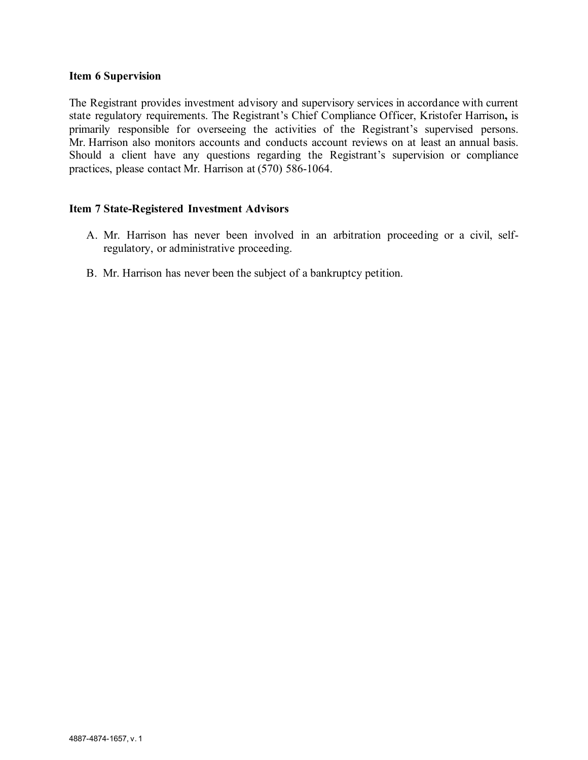#### **Item 6 Supervision**

The Registrant provides investment advisory and supervisory services in accordance with current state regulatory requirements. The Registrant's Chief Compliance Officer, Kristofer Harrison**,** is primarily responsible for overseeing the activities of the Registrant's supervised persons. Mr. Harrison also monitors accounts and conducts account reviews on at least an annual basis. Should a client have any questions regarding the Registrant's supervision or compliance practices, please contact Mr. Harrison at (570) 586-1064.

### **Item 7 State-Registered Investment Advisors**

- A. Mr. Harrison has never been involved in an arbitration proceeding or a civil, selfregulatory, or administrative proceeding.
- B. Mr. Harrison has never been the subject of a bankruptcy petition.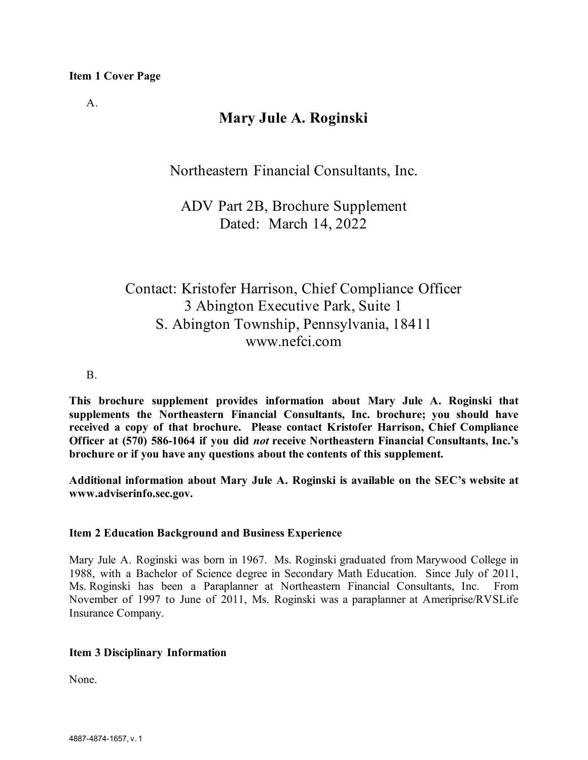A.

# **Mary Jule A. Roginski**

Northeastern Financial Consultants, Inc.

ADV Part 2B, Brochure Supplement Dated: March 14, 2022

# Contact: Kristofer Harrison, Chief Compliance Officer 3 Abington Executive Park, Suite 1 S. Abington Township, Pennsylvania, 18411 www.nefci.com

B.

**This brochure supplement provides information about Mary Jule A. Roginski that supplements the Northeastern Financial Consultants, Inc. brochure; you should have received a copy of that brochure. Please contact Kristofer Harrison, Chief Compliance Officer at (570) 586-1064 if you did** *not* **receive Northeastern Financial Consultants, Inc.'s brochure or if you have any questions about the contents of this supplement.**

**Additional information about Mary Jule A. Roginski is available on the SEC's website at www.adviserinfo.sec.gov.** 

## **Item 2 Education Background and Business Experience**

Mary Jule A. Roginski was born in 1967. Ms. Roginski graduated from Marywood College in 1988, with a Bachelor of Science degree in Secondary Math Education. Since July of 2011, Ms. Roginski has been a Paraplanner at Northeastern Financial Consultants, Inc. From November of 1997 to June of 2011, Ms. Roginski was a paraplanner at Ameriprise/RVSLife Insurance Company.

# **Item 3 Disciplinary Information**

None.